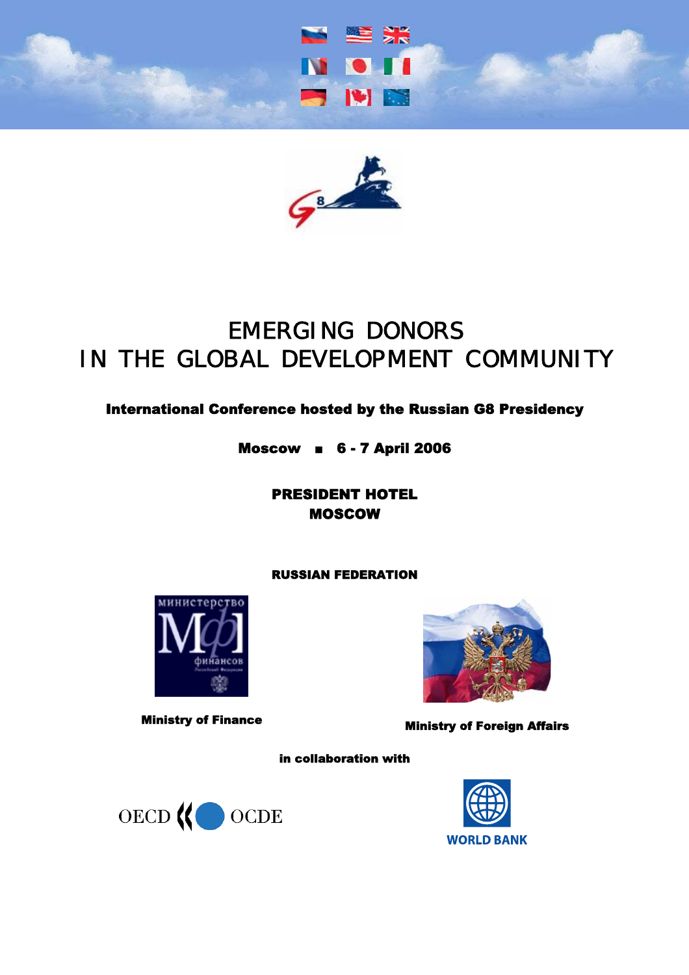



# International Conference hosted by the Russian G8 Presidency

Moscow ■ 6 - 7 April 2006

PRESIDENT HOTEL MOSCOW

## RUSSIAN FEDERATION





Ministry of Finance Ministry of Foreign Affairs

in collaboration with



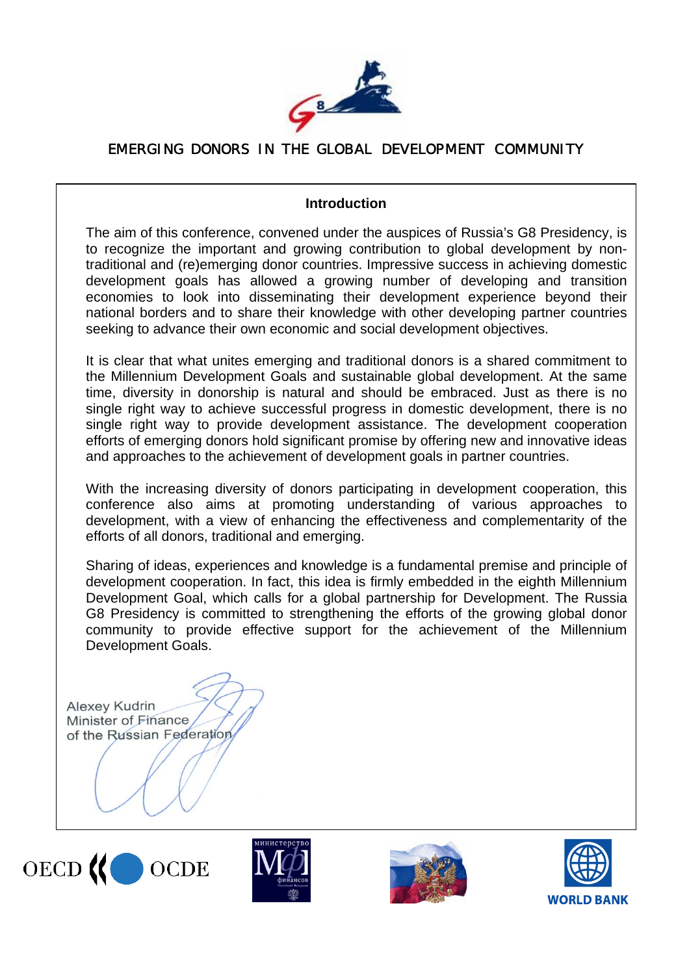

## **Introduction**

The aim of this conference, convened under the auspices of Russia's G8 Presidency, is to recognize the important and growing contribution to global development by nontraditional and (re)emerging donor countries. Impressive success in achieving domestic development goals has allowed a growing number of developing and transition economies to look into disseminating their development experience beyond their national borders and to share their knowledge with other developing partner countries seeking to advance their own economic and social development objectives.

It is clear that what unites emerging and traditional donors is a shared commitment to the Millennium Development Goals and sustainable global development. At the same time, diversity in donorship is natural and should be embraced. Just as there is no single right way to achieve successful progress in domestic development, there is no single right way to provide development assistance. The development cooperation efforts of emerging donors hold significant promise by offering new and innovative ideas and approaches to the achievement of development goals in partner countries.

With the increasing diversity of donors participating in development cooperation, this conference also aims at promoting understanding of various approaches to development, with a view of enhancing the effectiveness and complementarity of the efforts of all donors, traditional and emerging.

Sharing of ideas, experiences and knowledge is a fundamental premise and principle of development cooperation. In fact, this idea is firmly embedded in the eighth Millennium Development Goal, which calls for a global partnership for Development. The Russia G8 Presidency is committed to strengthening the efforts of the growing global donor community to provide effective support for the achievement of the Millennium Development Goals.

**Alexey Kudrin** Minister of Finance of the Russian Federation







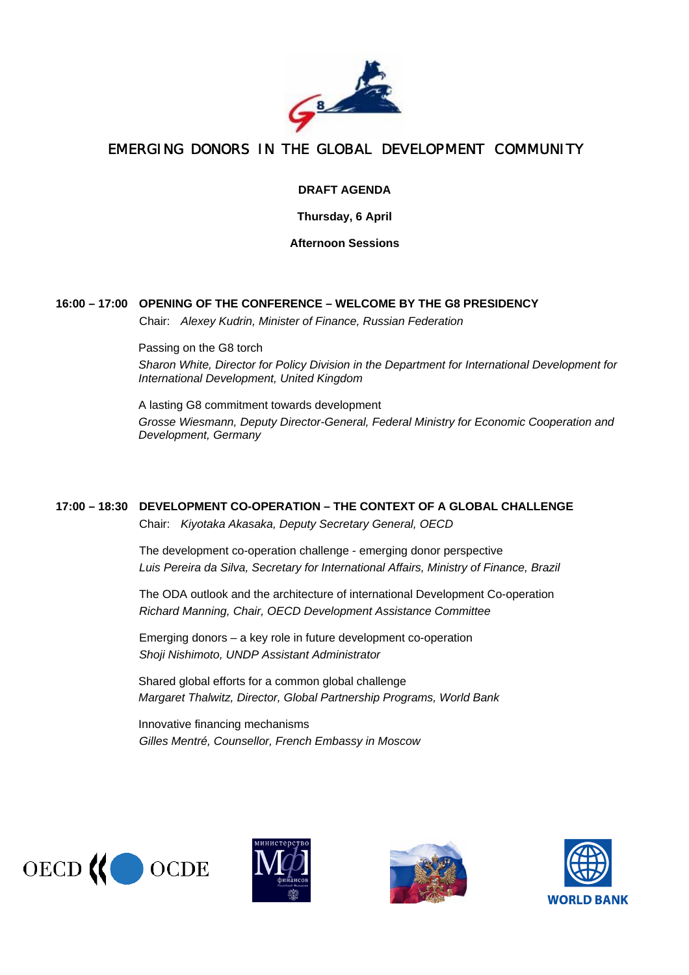

#### **DRAFT AGENDA**

**Thursday, 6 April** 

**Afternoon Sessions** 

#### **16:00 – 17:00 OPENING OF THE CONFERENCE – WELCOME BY THE G8 PRESIDENCY**

Chair: *Alexey Kudrin, Minister of Finance, Russian Federation*

Passing on the G8 torch *Sharon White, Director for Policy Division in the Department for International Development for International Development, United Kingdom*

A lasting G8 commitment towards development *Grosse Wiesmann, Deputy Director-General, Federal Ministry for Economic Cooperation and Development, Germany*

## **17:00 – 18:30 DEVELOPMENT CO-OPERATION – THE CONTEXT OF A GLOBAL CHALLENGE**

Chair: *Kiyotaka Akasaka, Deputy Secretary General, OECD* 

The development co-operation challenge - emerging donor perspective *Luis Pereira da Silva, Secretary for International Affairs, Ministry of Finance, Brazil*

The ODA outlook and the architecture of international Development Co-operation *Richard Manning, Chair, OECD Development Assistance Committee*

Emerging donors – a key role in future development co-operation *Shoji Nishimoto, UNDP Assistant Administrator*

Shared global efforts for a common global challenge *Margaret Thalwitz, Director, Global Partnership Programs, World Bank*

Innovative financing mechanisms *Gilles Mentré, Counsellor, French Embassy in Moscow* 







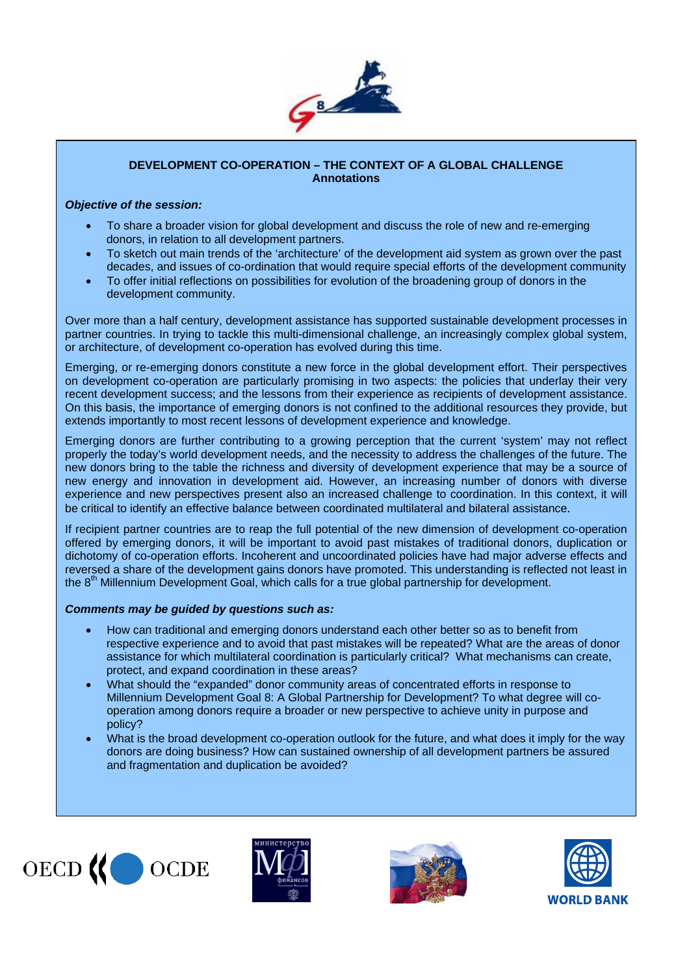

#### **DEVELOPMENT CO-OPERATION – THE CONTEXT OF A GLOBAL CHALLENGE Annotations**

#### *Objective of the session:*

- To share a broader vision for global development and discuss the role of new and re-emerging donors, in relation to all development partners.
- To sketch out main trends of the 'architecture' of the development aid system as grown over the past decades, and issues of co-ordination that would require special efforts of the development community
- To offer initial reflections on possibilities for evolution of the broadening group of donors in the development community.

Over more than a half century, development assistance has supported sustainable development processes in partner countries. In trying to tackle this multi-dimensional challenge, an increasingly complex global system, or architecture, of development co-operation has evolved during this time.

Emerging, or re-emerging donors constitute a new force in the global development effort. Their perspectives on development co-operation are particularly promising in two aspects: the policies that underlay their very recent development success; and the lessons from their experience as recipients of development assistance. On this basis, the importance of emerging donors is not confined to the additional resources they provide, but extends importantly to most recent lessons of development experience and knowledge.

Emerging donors are further contributing to a growing perception that the current 'system' may not reflect properly the today's world development needs, and the necessity to address the challenges of the future. The new donors bring to the table the richness and diversity of development experience that may be a source of new energy and innovation in development aid. However, an increasing number of donors with diverse experience and new perspectives present also an increased challenge to coordination. In this context, it will be critical to identify an effective balance between coordinated multilateral and bilateral assistance.

If recipient partner countries are to reap the full potential of the new dimension of development co-operation offered by emerging donors, it will be important to avoid past mistakes of traditional donors, duplication or dichotomy of co-operation efforts. Incoherent and uncoordinated policies have had major adverse effects and reversed a share of the development gains donors have promoted. This understanding is reflected not least in the 8<sup>th</sup> Millennium Development Goal, which calls for a true global partnership for development.

#### *Comments may be guided by questions such as:*

- How can traditional and emerging donors understand each other better so as to benefit from respective experience and to avoid that past mistakes will be repeated? What are the areas of donor assistance for which multilateral coordination is particularly critical? What mechanisms can create, protect, and expand coordination in these areas?
- What should the "expanded" donor community areas of concentrated efforts in response to Millennium Development Goal 8: A Global Partnership for Development? To what degree will cooperation among donors require a broader or new perspective to achieve unity in purpose and policy?
- What is the broad development co-operation outlook for the future, and what does it imply for the way donors are doing business? How can sustained ownership of all development partners be assured and fragmentation and duplication be avoided?







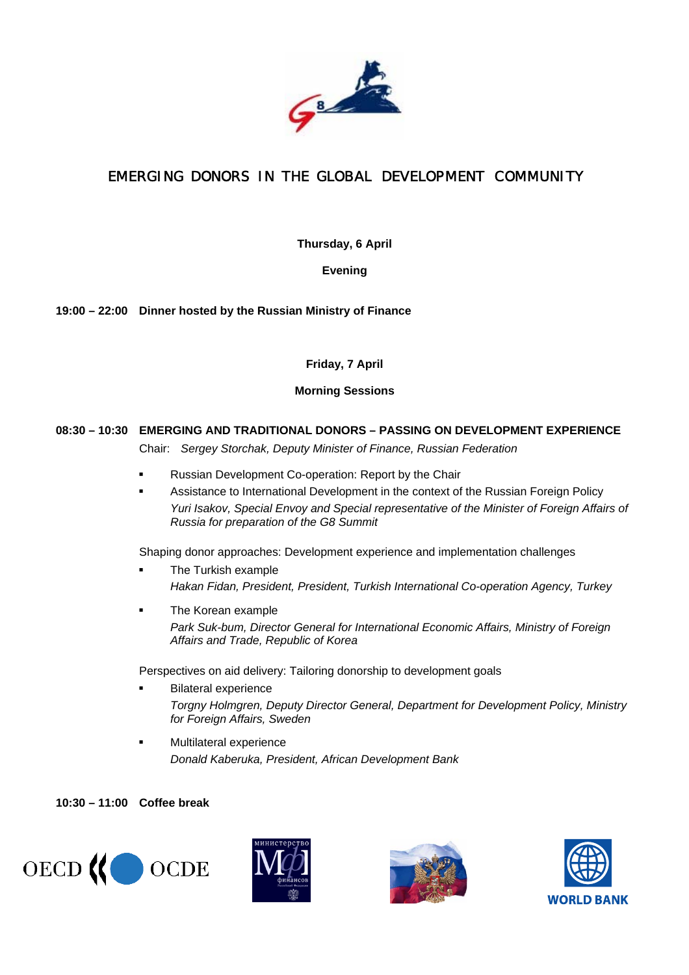

**Thursday, 6 April** 

**Evening** 

**19:00 – 22:00 Dinner hosted by the Russian Ministry of Finance** 

## **Friday, 7 April**

#### **Morning Sessions**

## **08:30 – 10:30 EMERGING AND TRADITIONAL DONORS – PASSING ON DEVELOPMENT EXPERIENCE**

Chair: *Sergey Storchak, Deputy Minister of Finance, Russian Federation*

- Russian Development Co-operation: Report by the Chair
- Assistance to International Development in the context of the Russian Foreign Policy *Yuri Isakov, Special Envoy and Special representative of the Minister of Foreign Affairs of Russia for preparation of the G8 Summit*

Shaping donor approaches: Development experience and implementation challenges

- **The Turkish example** *Hakan Fidan, President, President, Turkish International Co-operation Agency, Turkey*
- The Korean example *Park Suk-bum, Director General for International Economic Affairs, Ministry of Foreign Affairs and Trade, Republic of Korea*

Perspectives on aid delivery: Tailoring donorship to development goals

- **Bilateral experience** *Torgny Holmgren, Deputy Director General, Department for Development Policy, Ministry for Foreign Affairs, Sweden*
- Multilateral experience *Donald Kaberuka, President, African Development Bank*

#### **10:30 – 11:00 Coffee break**







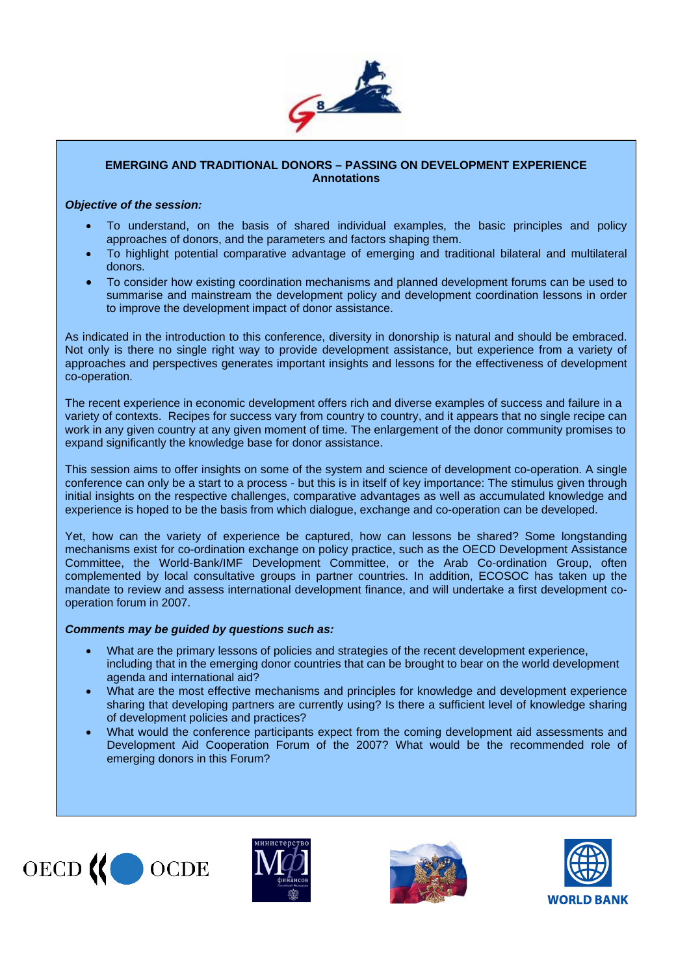

#### **EMERGING AND TRADITIONAL DONORS – PASSING ON DEVELOPMENT EXPERIENCE Annotations**

#### *Objective of the session:*

- To understand, on the basis of shared individual examples, the basic principles and policy approaches of donors, and the parameters and factors shaping them.
- To highlight potential comparative advantage of emerging and traditional bilateral and multilateral donors.
- To consider how existing coordination mechanisms and planned development forums can be used to summarise and mainstream the development policy and development coordination lessons in order to improve the development impact of donor assistance.

As indicated in the introduction to this conference, diversity in donorship is natural and should be embraced. Not only is there no single right way to provide development assistance, but experience from a variety of approaches and perspectives generates important insights and lessons for the effectiveness of development co-operation.

The recent experience in economic development offers rich and diverse examples of success and failure in a variety of contexts. Recipes for success vary from country to country, and it appears that no single recipe can work in any given country at any given moment of time. The enlargement of the donor community promises to expand significantly the knowledge base for donor assistance.

This session aims to offer insights on some of the system and science of development co-operation. A single conference can only be a start to a process - but this is in itself of key importance: The stimulus given through initial insights on the respective challenges, comparative advantages as well as accumulated knowledge and experience is hoped to be the basis from which dialogue, exchange and co-operation can be developed.

Yet, how can the variety of experience be captured, how can lessons be shared? Some longstanding mechanisms exist for co-ordination exchange on policy practice, such as the OECD Development Assistance Committee, the World-Bank/IMF Development Committee, or the Arab Co-ordination Group, often complemented by local consultative groups in partner countries. In addition, ECOSOC has taken up the mandate to review and assess international development finance, and will undertake a first development cooperation forum in 2007.

#### *Comments may be guided by questions such as:*

- What are the primary lessons of policies and strategies of the recent development experience, including that in the emerging donor countries that can be brought to bear on the world development agenda and international aid?
- What are the most effective mechanisms and principles for knowledge and development experience sharing that developing partners are currently using? Is there a sufficient level of knowledge sharing of development policies and practices?
- What would the conference participants expect from the coming development aid assessments and Development Aid Cooperation Forum of the 2007? What would be the recommended role of emerging donors in this Forum?







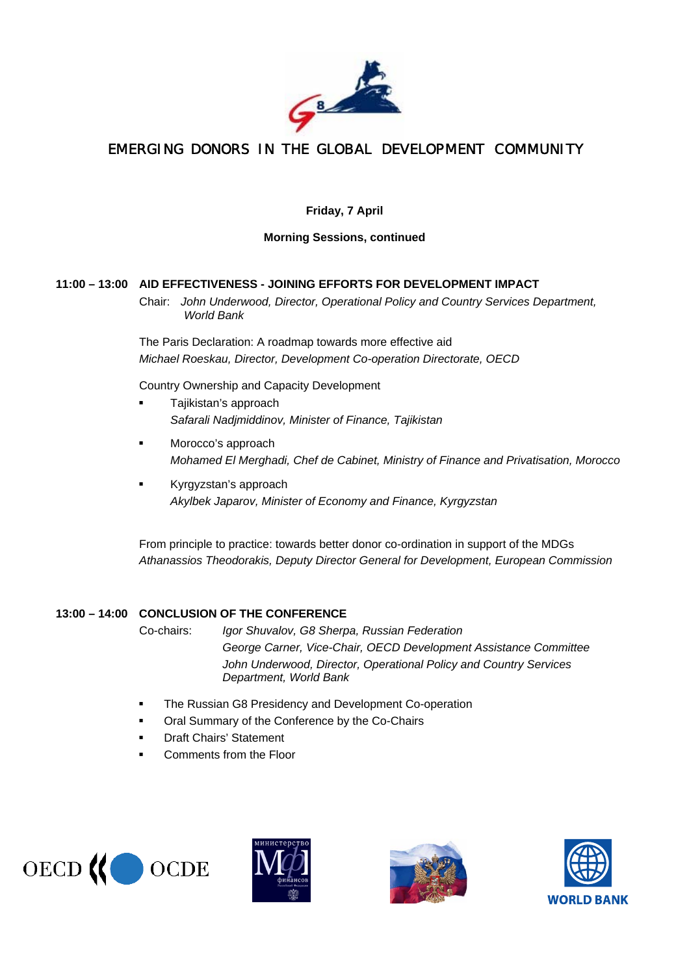

## **Friday, 7 April**

#### **Morning Sessions, continued**

#### **11:00 – 13:00 AID EFFECTIVENESS - JOINING EFFORTS FOR DEVELOPMENT IMPACT**

 Chair: *John Underwood, Director, Operational Policy and Country Services Department, World Bank*

The Paris Declaration: A roadmap towards more effective aid *Michael Roeskau, Director, Development Co-operation Directorate, OECD* 

Country Ownership and Capacity Development

- Tajikistan's approach *Safarali Nadjmiddinov, Minister of Finance, Tajikistan*
- Morocco's approach *Mohamed El Merghadi, Chef de Cabinet, Ministry of Finance and Privatisation, Morocco*
- Kyrgyzstan's approach *Akylbek Japarov, Minister of Economy and Finance, Kyrgyzstan*

From principle to practice: towards better donor co-ordination in support of the MDGs *Athanassios Theodorakis, Deputy Director General for Development, European Commission* 

#### **13:00 – 14:00 CONCLUSION OF THE CONFERENCE**

 Co-chairs: *Igor Shuvalov, G8 Sherpa, Russian Federation George Carner, Vice-Chair, OECD Development Assistance Committee John Underwood, Director, Operational Policy and Country Services Department, World Bank*

- **The Russian G8 Presidency and Development Co-operation**
- **Oral Summary of the Conference by the Co-Chairs**
- **•** Draft Chairs' Statement
- Comments from the Floor







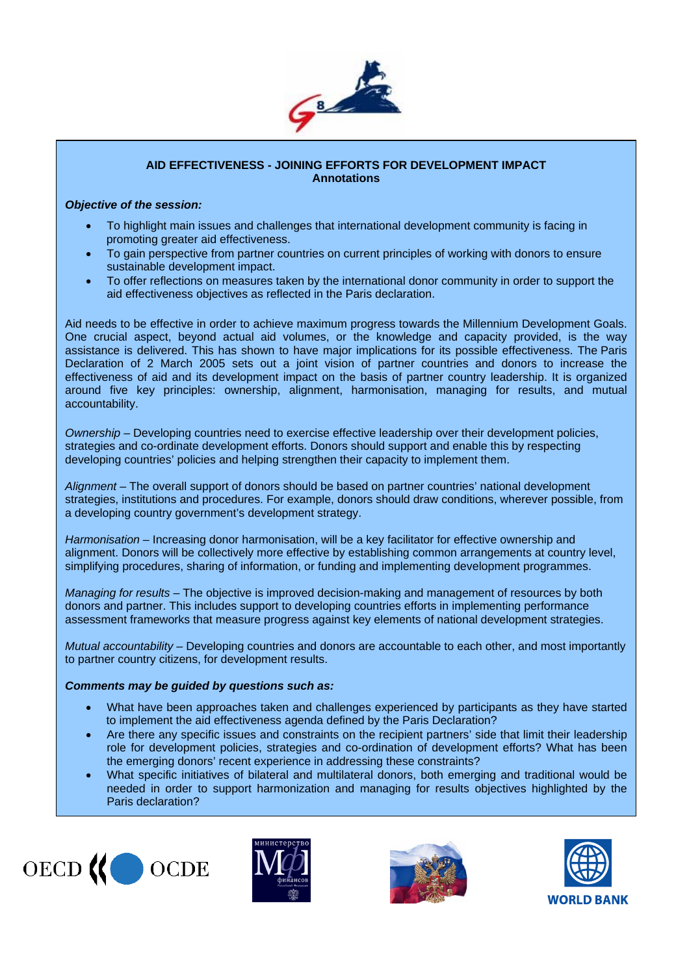

#### **AID EFFECTIVENESS - JOINING EFFORTS FOR DEVELOPMENT IMPACT Annotations**

#### *Objective of the session:*

- To highlight main issues and challenges that international development community is facing in promoting greater aid effectiveness.
- To gain perspective from partner countries on current principles of working with donors to ensure sustainable development impact.
- To offer reflections on measures taken by the international donor community in order to support the aid effectiveness objectives as reflected in the Paris declaration.

Aid needs to be effective in order to achieve maximum progress towards the Millennium Development Goals. One crucial aspect, beyond actual aid volumes, or the knowledge and capacity provided, is the way assistance is delivered. This has shown to have major implications for its possible effectiveness. The Paris Declaration of 2 March 2005 sets out a joint vision of partner countries and donors to increase the effectiveness of aid and its development impact on the basis of partner country leadership. It is organized around five key principles: ownership, alignment, harmonisation, managing for results, and mutual accountability.

*Ownership* – Developing countries need to exercise effective leadership over their development policies, strategies and co-ordinate development efforts. Donors should support and enable this by respecting developing countries' policies and helping strengthen their capacity to implement them.

*Alignment* – The overall support of donors should be based on partner countries' national development strategies, institutions and procedures. For example, donors should draw conditions, wherever possible, from a developing country government's development strategy.

*Harmonisation* – Increasing donor harmonisation, will be a key facilitator for effective ownership and alignment. Donors will be collectively more effective by establishing common arrangements at country level, simplifying procedures, sharing of information, or funding and implementing development programmes.

*Managing for results* – The objective is improved decision-making and management of resources by both donors and partner. This includes support to developing countries efforts in implementing performance assessment frameworks that measure progress against key elements of national development strategies.

*Mutual accountability* – Developing countries and donors are accountable to each other, and most importantly to partner country citizens, for development results.

#### *Comments may be guided by questions such as:*

- What have been approaches taken and challenges experienced by participants as they have started to implement the aid effectiveness agenda defined by the Paris Declaration?
- Are there any specific issues and constraints on the recipient partners' side that limit their leadership role for development policies, strategies and co-ordination of development efforts? What has been the emerging donors' recent experience in addressing these constraints?
- What specific initiatives of bilateral and multilateral donors, both emerging and traditional would be needed in order to support harmonization and managing for results objectives highlighted by the Paris declaration?